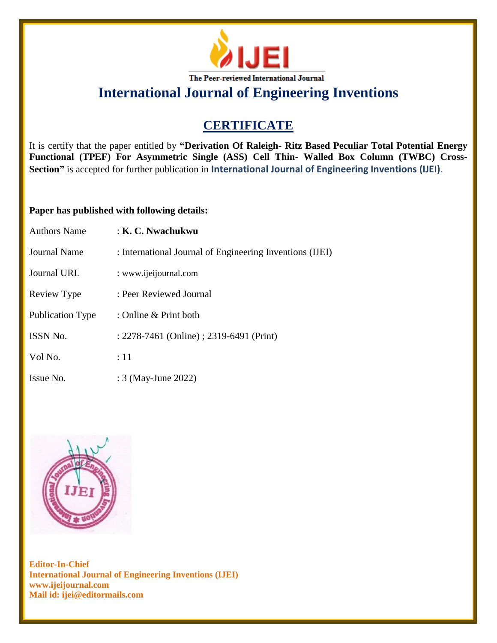

# **CERTIFICATE**

It is certify that the paper entitled by **"Derivation Of Raleigh- Ritz Based Peculiar Total Potential Energy Functional (TPEF) For Asymmetric Single (ASS) Cell Thin- Walled Box Column (TWBC) Cross-Section"** is accepted for further publication in **International Journal of Engineering Inventions (IJEI)**.

## **Paper has published with following details:**

| <b>Authors Name</b> | : K. C. Nwachukwu                                        |
|---------------------|----------------------------------------------------------|
| Journal Name        | : International Journal of Engineering Inventions (IJEI) |
| Journal URL         | : www.ijeijournal.com                                    |
| Review Type         | : Peer Reviewed Journal                                  |
| Publication Type    | : Online $&$ Print both                                  |
| <b>ISSN No.</b>     | : 2278-7461 (Online) ; 2319-6491 (Print)                 |
| Vol No.             | $\div 11$                                                |
| Issue No.           | : 3 (May-June 2022)                                      |

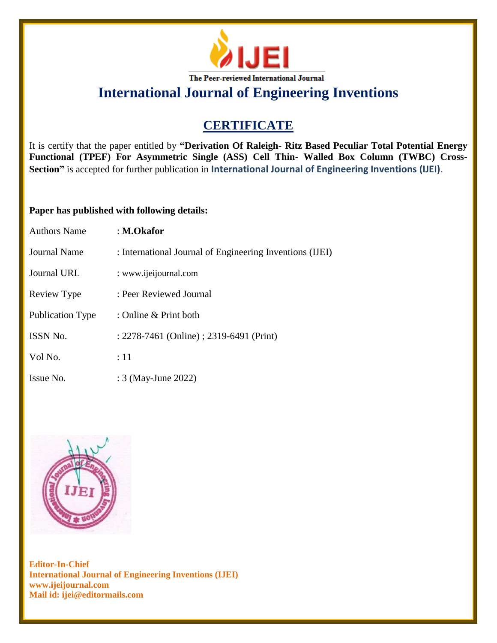

# **CERTIFICATE**

It is certify that the paper entitled by **"Derivation Of Raleigh- Ritz Based Peculiar Total Potential Energy Functional (TPEF) For Asymmetric Single (ASS) Cell Thin- Walled Box Column (TWBC) Cross-Section"** is accepted for further publication in **International Journal of Engineering Inventions (IJEI)**.

## **Paper has published with following details:**

| <b>Authors Name</b> | : M.Okafor                                               |
|---------------------|----------------------------------------------------------|
| Journal Name        | : International Journal of Engineering Inventions (IJEI) |
| Journal URL         | : www.ijeijournal.com                                    |
| Review Type         | : Peer Reviewed Journal                                  |
| Publication Type    | : Online $&$ Print both                                  |
| <b>ISSN No.</b>     | : 2278-7461 (Online) ; 2319-6491 (Print)                 |
| Vol No.             | $\div 11$                                                |
| Issue No.           | : 3 (May-June 2022)                                      |

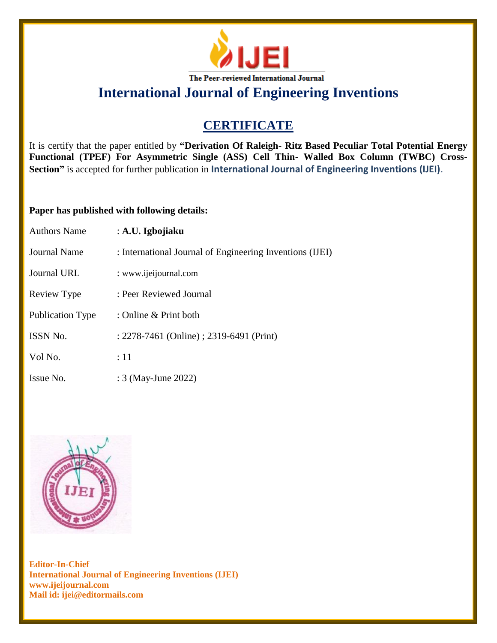

# **CERTIFICATE**

It is certify that the paper entitled by **"Derivation Of Raleigh- Ritz Based Peculiar Total Potential Energy Functional (TPEF) For Asymmetric Single (ASS) Cell Thin- Walled Box Column (TWBC) Cross-Section"** is accepted for further publication in **International Journal of Engineering Inventions (IJEI)**.

## **Paper has published with following details:**

| <b>Authors Name</b> | : A.U. Igbojiaku                                         |
|---------------------|----------------------------------------------------------|
| Journal Name        | : International Journal of Engineering Inventions (IJEI) |
| <b>Journal URL</b>  | : www.ijeijournal.com                                    |
| Review Type         | : Peer Reviewed Journal                                  |
| Publication Type    | : Online $&$ Print both                                  |
| ISSN No.            | : 2278-7461 (Online) ; 2319-6491 (Print)                 |
| Vol No.             | $\div 11$                                                |
| Issue No.           | : 3 (May-June 2022)                                      |